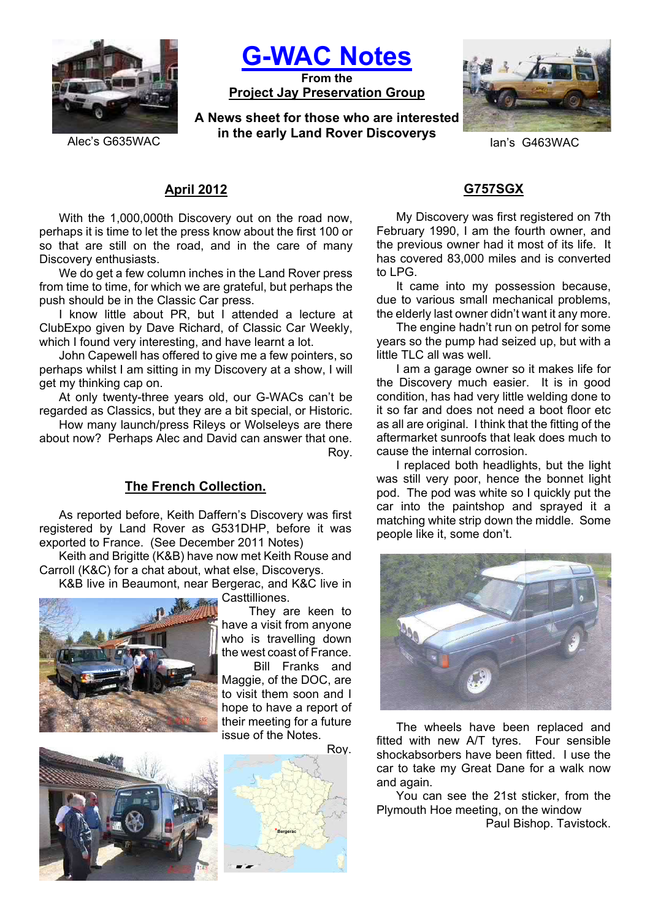

**G-WAC Notes**

**From the Project Jay Preservation Group**

**A News sheet for those who are interested in the early Land Rover Discoverys Exercise G635WAC Ian's G463WAC** 



# **April 2012**

With the 1,000,000th Discovery out on the road now, perhaps it is time to let the press know about the first 100 or so that are still on the road, and in the care of many Discovery enthusiasts.

We do get a few column inches in the Land Rover press from time to time, for which we are grateful, but perhaps the push should be in the Classic Car press.

I know little about PR, but I attended a lecture at ClubExpo given by Dave Richard, of Classic Car Weekly, which I found very interesting, and have learnt a lot.

John Capewell has offered to give me a few pointers, so perhaps whilst I am sitting in my Discovery at a show, I will get my thinking cap on.

At only twenty-three years old, our G-WACs can't be regarded as Classics, but they are a bit special, or Historic.

How many launch/press Rileys or Wolseleys are there about now? Perhaps Alec and David can answer that one. Roy.

### **The French Collection.**

As reported before, Keith Daffern's Discovery was first registered by Land Rover as G531DHP, before it was exported to France. (See December 2011 Notes)

Keith and Brigitte (K&B) have now met Keith Rouse and Carroll (K&C) for a chat about, what else, Discoverys.

K&B live in Beaumont, near Bergerac, and K&C live in



Casttilliones.

 They are keen to have a visit from anyone who is travelling down the west coast of France.

 Bill Franks and Maggie, of the DOC, are to visit them soon and I hope to have a report of their meeting for a future issue of the Notes.





### **G757SGX**

My Discovery was first registered on 7th February 1990, I am the fourth owner, and the previous owner had it most of its life. It has covered 83,000 miles and is converted to LPG.

It came into my possession because, due to various small mechanical problems, the elderly last owner didn't want it any more.

The engine hadn't run on petrol for some years so the pump had seized up, but with a little TLC all was well.

I am a garage owner so it makes life for the Discovery much easier. It is in good condition, has had very little welding done to it so far and does not need a boot floor etc as all are original. I think that the fitting of the aftermarket sunroofs that leak does much to cause the internal corrosion.

I replaced both headlights, but the light was still very poor, hence the bonnet light pod. The pod was white so I quickly put the car into the paintshop and sprayed it a matching white strip down the middle. Some people like it, some don't.



The wheels have been replaced and fitted with new A/T tyres. Four sensible shockabsorbers have been fitted. I use the car to take my Great Dane for a walk now and again.

You can see the 21st sticker, from the Plymouth Hoe meeting, on the window

Paul Bishop. Tavistock.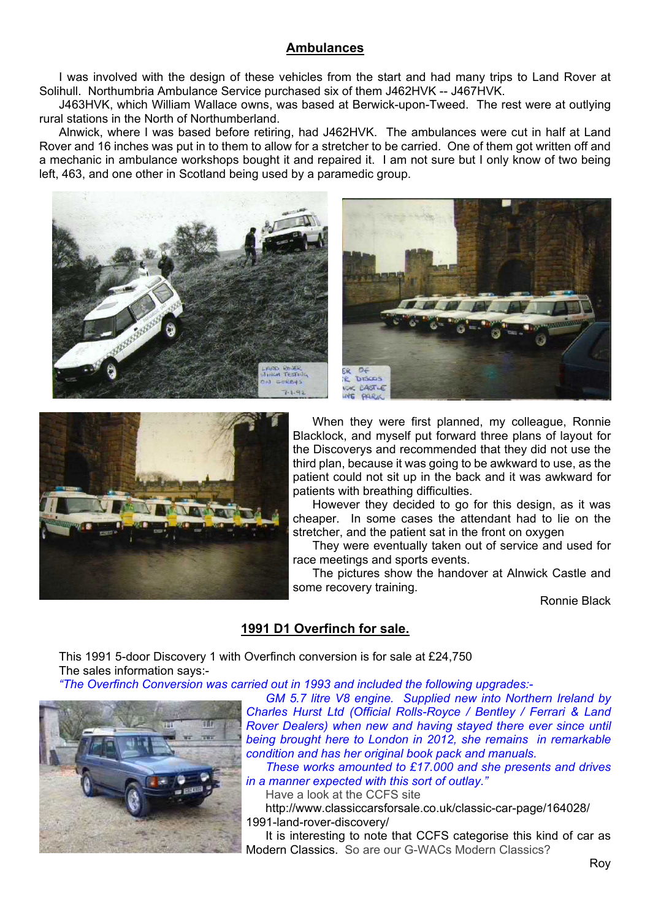## **Ambulances**

I was involved with the design of these vehicles from the start and had many trips to Land Rover at Solihull. Northumbria Ambulance Service purchased six of them J462HVK -- J467HVK.

J463HVK, which William Wallace owns, was based at Berwick-upon-Tweed. The rest were at outlying rural stations in the North of Northumberland.

Alnwick, where I was based before retiring, had J462HVK. The ambulances were cut in half at Land Rover and 16 inches was put in to them to allow for a stretcher to be carried. One of them got written off and a mechanic in ambulance workshops bought it and repaired it. I am not sure but I only know of two being left, 463, and one other in Scotland being used by a paramedic group.







When they were first planned, my colleague, Ronnie Blacklock, and myself put forward three plans of layout for the Discoverys and recommended that they did not use the third plan, because it was going to be awkward to use, as the patient could not sit up in the back and it was awkward for patients with breathing difficulties.

However they decided to go for this design, as it was cheaper. In some cases the attendant had to lie on the stretcher, and the patient sat in the front on oxygen

They were eventually taken out of service and used for race meetings and sports events.

The pictures show the handover at Alnwick Castle and some recovery training.

Ronnie Black

# **1991 D1 Overfinch for sale.**

This 1991 5-door Discovery 1 with Overfinch conversion is for sale at £24,750 The sales information says:-

*"The Overfinch Conversion was carried out in 1993 and included the following upgrades:-*



*GM 5.7 litre V8 engine. Supplied new into Northern Ireland by Charles Hurst Ltd (Official Rolls-Royce / Bentley / Ferrari & Land Rover Dealers) when new and having stayed there ever since until being brought here to London in 2012, she remains in remarkable condition and has her original book pack and manuals.*

*These works amounted to £17.000 and she presents and drives in a manner expected with this sort of outlay."*

Have a look at the CCFS site

http://www.classiccarsforsale.co.uk/classic-car-page/164028/ 1991-land-rover-discovery/

It is interesting to note that CCFS categorise this kind of car as Modern Classics. So are our G-WACs Modern Classics?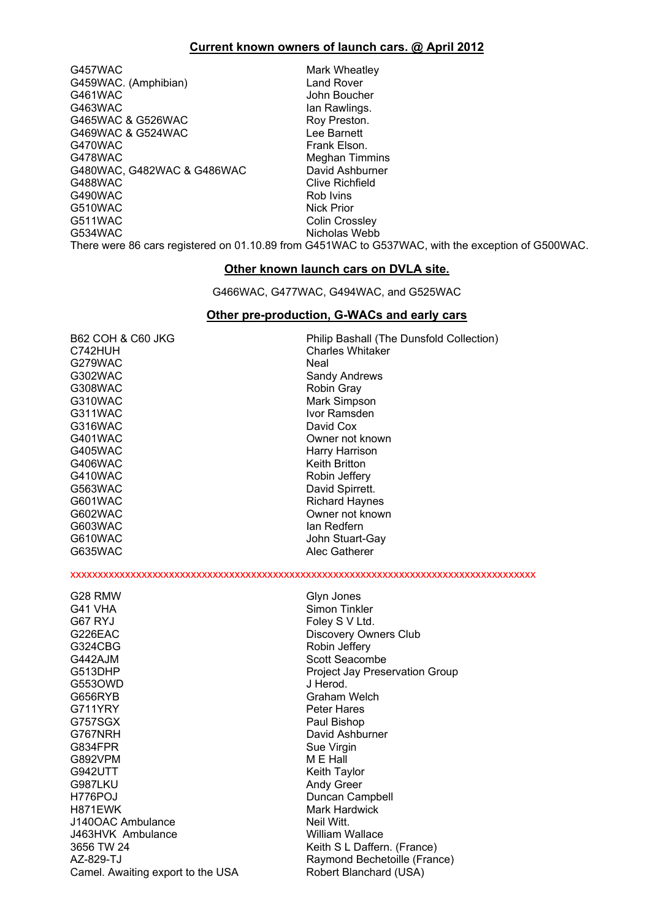### **Current known owners of launch cars. @ April 2012**

G457WAC Mark Wheatley G459WAC. (Amphibian) Land Rover G461WAC John Boucher G463WAC Ian Rawlings. G465WAC & G526WAC Roy Preston.<br>C469WAC & G524WAC CONTERNIES RESIDENCES G469WAC & G524WAC G470WAC Frank Elson. G478WAC<br>G480WAC, G482WAC & G486WAC David Ashburner G480WAC, G482WAC & G486WAC G488WAC Clive Richfield G490WAC Rob Ivins<br>
G510WAC Rob Ivins Rob Ivins G510WAC G511WAC Colin Crossley G534WAC Nicholas Webb

There were 86 cars registered on 01.10.89 from G451WAC to G537WAC, with the exception of G500WAC.

### **Other known launch cars on DVLA site.**

G466WAC, G477WAC, G494WAC, and G525WAC

#### **Other pre-production, G-WACs and early cars**

G279WAC Neal G302WAC Sandy Andrews<br>G308WAC Sandy Andrews<br>Robin Gray G310WAC Mark Simpson G311WAC Ivor Ramsden G316WAC David Cox G405WAC Harry Harrison G406WAC Keith Britton G410WAC Robin Jeffery<br>G563WAC Robin Jeffery<br>David Spirrett G601WAC Richard Haynes<br>G602WAC COMPUTE: COMPUTE COMPUTE COMPUTE COMPUTE COMPUTE COMPUTE COMPUTE COMPUTE COMPUTE COMPUTE COMPUTE COMP<br>COMPUTE COMPUTE COMPUTE COMPUTE COMPUTE COMPUTE COMPUTE COMPUTE COMPUTE COMPUTE COMPUTE C G635WAC Alec Gatherer

B62 COH & C60 JKG Philip Bashall (The Dunsfold Collection) C742HUH Charles Whitaker Robin Gray G401WAC Owner not known David Spirrett. G602WAC Owner not known lan Redfern G610WAC John Stuart-Gay

xxxxxxxxxxxxxxxxxxxxxxxxxxxxxxxxxxxxxxxxxxxxxxxxxxxxxxxxxxxxxxxxxxxxxxxxxxxxxxxxxxxxx

| G28 RMW                           | Glyn Jones                            |
|-----------------------------------|---------------------------------------|
| G41 VHA                           | Simon Tinkler                         |
| G67 RYJ                           | Foley S V Ltd.                        |
| G226EAC                           | Discovery Owners Club                 |
| G324CBG                           | Robin Jeffery                         |
| G442AJM                           | Scott Seacombe                        |
| G513DHP                           | <b>Project Jay Preservation Group</b> |
| G5530WD                           | J Herod.                              |
| G656RYB                           | Graham Welch                          |
|                                   |                                       |
| G711YRY                           | <b>Peter Hares</b>                    |
| G757SGX                           | Paul Bishop                           |
| G767NRH                           | David Ashburner                       |
| G834FPR                           | Sue Virgin                            |
| G892VPM                           | M E Hall                              |
| G942UTT                           | Keith Taylor                          |
| G987LKU                           | <b>Andy Greer</b>                     |
| H776POJ                           | Duncan Campbell                       |
| H871EWK                           | Mark Hardwick                         |
| J140OAC Ambulance                 | Neil Witt.                            |
|                                   |                                       |
| J463HVK Ambulance                 | William Wallace                       |
| 3656 TW 24                        | Keith S L Daffern. (France)           |
| AZ-829-TJ                         | Raymond Bechetoille (France)          |
| Camel. Awaiting export to the USA | Robert Blanchard (USA)                |
|                                   |                                       |